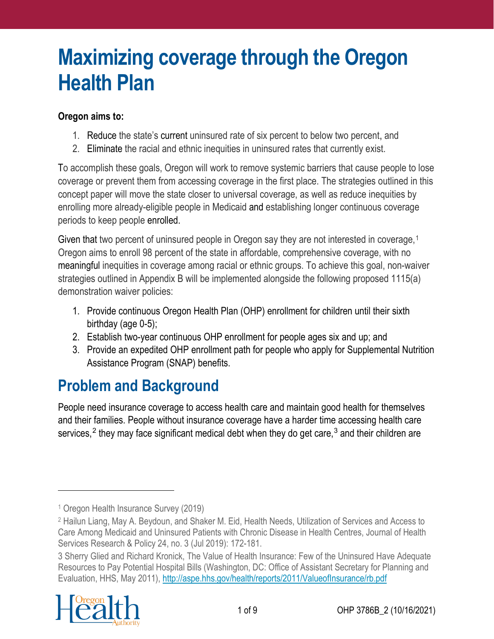## **Maximizing coverage through the Oregon Health Plan**

#### **Oregon aims to:**

- 1. Reduce the state's current uninsured rate of six percent to below two percent, and
- 2. Eliminate the racial and ethnic inequities in uninsured rates that currently exist.

To accomplish these goals, Oregon will work to remove systemic barriers that cause people to lose coverage or prevent them from accessing coverage in the first place. The strategies outlined in this concept paper will move the state closer to universal coverage, as well as reduce inequities by enrolling more already-eligible people in Medicaid and establishing longer continuous coverage periods to keep people enrolled.

Given that two percent of uninsured people in Oregon say they are not interested in coverage,<sup>[1](#page-0-0)</sup> Oregon aims to enroll 98 percent of the state in affordable, comprehensive coverage, with no meaningful inequities in coverage among racial or ethnic groups. To achieve this goal, non-waiver strategies outlined in Appendix B will be implemented alongside the following proposed 1115(a) demonstration waiver policies:

- 1. Provide continuous Oregon Health Plan (OHP) enrollment for children until their sixth birthday (age 0-5);
- 2. Establish two-year continuous OHP enrollment for people ages six and up; and
- 3. Provide an expedited OHP enrollment path for people who apply for Supplemental Nutrition Assistance Program (SNAP) benefits.

## **Problem and Background**

People need insurance coverage to access health care and maintain good health for themselves and their families. People without insurance coverage have a harder time accessing health care services,<sup>[2](#page-0-1)</sup> they may face significant medical debt when they do get care,<sup>[3](#page-0-2)</sup> and their children are

<span id="page-0-2"></span><sup>3</sup> Sherry Glied and Richard Kronick, The Value of Health Insurance: Few of the Uninsured Have Adequate Resources to Pay Potential Hospital Bills (Washington, DC: Office of Assistant Secretary for Planning and Evaluation, HHS, May 2011),<http://aspe.hhs.gov/health/reports/2011/ValueofInsurance/rb.pdf>



<span id="page-0-0"></span><sup>1</sup> Oregon Health Insurance Survey (2019)

<span id="page-0-1"></span><sup>2</sup> Hailun Liang, May A. Beydoun, and Shaker M. Eid, Health Needs, Utilization of Services and Access to Care Among Medicaid and Uninsured Patients with Chronic Disease in Health Centres, Journal of Health Services Research & Policy 24, no. 3 (Jul 2019): 172-181.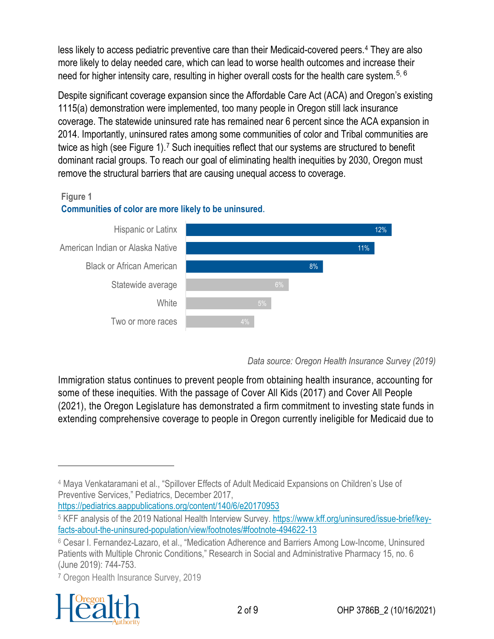less likely to access pediatric preventive care than their Medicaid-covered peers.[4](#page-1-0) They are also more likely to delay needed care, which can lead to worse health outcomes and increase their need for higher intensity care, resulting in higher overall costs for the health care system.<sup>[5](#page-1-1), [6](#page-1-2)</sup>

Despite significant coverage expansion since the Affordable Care Act (ACA) and Oregon's existing 1115(a) demonstration were implemented, too many people in Oregon still lack insurance coverage. The statewide uninsured rate has remained near 6 percent since the ACA expansion in 2014. Importantly, uninsured rates among some communities of color and Tribal communities are twice as high (see Figure 1).<sup>[7](#page-1-3)</sup> Such inequities reflect that our systems are structured to benefit dominant racial groups. To reach our goal of eliminating health inequities by 2030, Oregon must remove the structural barriers that are causing unequal access to coverage.

#### **Figure 1**

#### **Communities of color are more likely to be uninsured**.



#### *Data source: Oregon Health Insurance Survey (2019)*

Immigration status continues to prevent people from obtaining health insurance, accounting for some of these inequities. With the passage of Cover All Kids (2017) and Cover All People (2021), the Oregon Legislature has demonstrated a firm commitment to investing state funds in extending comprehensive coverage to people in Oregon currently ineligible for Medicaid due to

[https://pediatrics.aappublications.org/content/140/6/e20170953.](https://pediatrics.aappublications.org/content/140/6/e20170953)

<span id="page-1-3"></span><sup>7</sup> Oregon Health Insurance Survey, 2019



<span id="page-1-0"></span><sup>4</sup> Maya Venkataramani et al., "Spillover Effects of Adult Medicaid Expansions on Children's Use of Preventive Services," Pediatrics, December 2017,

<span id="page-1-1"></span><sup>5</sup> KFF analysis of the 2019 National Health Interview Survey. [https://www.kff.org/uninsured/issue-brief/key](https://www.kff.org/uninsured/issue-brief/key-facts-about-the-uninsured-population/view/footnotes/#footnote-494622-13)[facts-about-the-uninsured-population/view/footnotes/#footnote-494622-13](https://www.kff.org/uninsured/issue-brief/key-facts-about-the-uninsured-population/view/footnotes/#footnote-494622-13)

<span id="page-1-2"></span><sup>6</sup> Cesar I. Fernandez-Lazaro, et al., "Medication Adherence and Barriers Among Low-Income, Uninsured Patients with Multiple Chronic Conditions," Research in Social and Administrative Pharmacy 15, no. 6 (June 2019): 744-753.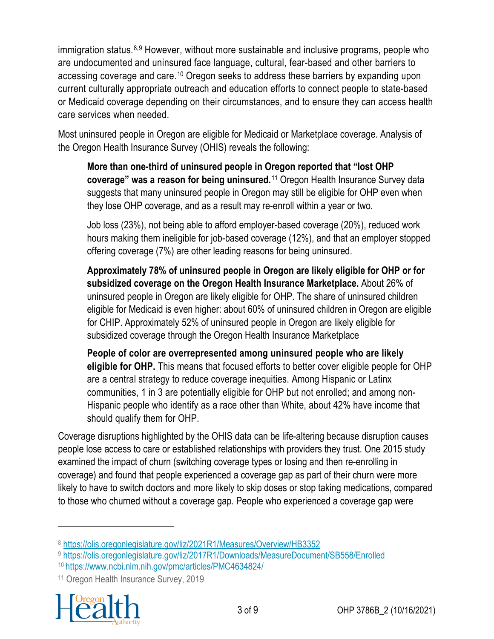immigration status.<sup>[8,](#page-2-0)[9](#page-2-1)</sup> However, without more sustainable and inclusive programs, people who are undocumented and uninsured face language, cultural, fear-based and other barriers to accessing coverage and care.[10](#page-2-2) Oregon seeks to address these barriers by expanding upon current culturally appropriate outreach and education efforts to connect people to state-based or Medicaid coverage depending on their circumstances, and to ensure they can access health care services when needed.

Most uninsured people in Oregon are eligible for Medicaid or Marketplace coverage. Analysis of the Oregon Health Insurance Survey (OHIS) reveals the following:

**More than one-third of uninsured people in Oregon reported that "lost OHP coverage" was a reason for being uninsured.**[11](#page-2-3) Oregon Health Insurance Survey data suggests that many uninsured people in Oregon may still be eligible for OHP even when they lose OHP coverage, and as a result may re-enroll within a year or two.

Job loss (23%), not being able to afford employer-based coverage (20%), reduced work hours making them ineligible for job-based coverage (12%), and that an employer stopped offering coverage (7%) are other leading reasons for being uninsured.

**Approximately 78% of uninsured people in Oregon are likely eligible for OHP or for subsidized coverage on the Oregon Health Insurance Marketplace.** About 26% of uninsured people in Oregon are likely eligible for OHP. The share of uninsured children eligible for Medicaid is even higher: about 60% of uninsured children in Oregon are eligible for CHIP. Approximately 52% of uninsured people in Oregon are likely eligible for subsidized coverage through the Oregon Health Insurance Marketplace

**People of color are overrepresented among uninsured people who are likely eligible for OHP.** This means that focused efforts to better cover eligible people for OHP are a central strategy to reduce coverage inequities. Among Hispanic or Latinx communities, 1 in 3 are potentially eligible for OHP but not enrolled; and among non-Hispanic people who identify as a race other than White, about 42% have income that should qualify them for OHP.

Coverage disruptions highlighted by the OHIS data can be life-altering because disruption causes people lose access to care or established relationships with providers they trust. One 2015 study examined the impact of churn (switching coverage types or losing and then re-enrolling in coverage) and found that people experienced a coverage gap as part of their churn were more likely to have to switch doctors and more likely to skip doses or stop taking medications, compared to those who churned without a coverage gap. People who experienced a coverage gap were

<span id="page-2-3"></span><span id="page-2-2"></span><span id="page-2-1"></span><sup>11</sup> Oregon Health Insurance Survey, 2019



<span id="page-2-0"></span><sup>8</sup> <https://olis.oregonlegislature.gov/liz/2021R1/Measures/Overview/HB3352>

<sup>9</sup> <https://olis.oregonlegislature.gov/liz/2017R1/Downloads/MeasureDocument/SB558/Enrolled>

<sup>10</sup> <https://www.ncbi.nlm.nih.gov/pmc/articles/PMC4634824/>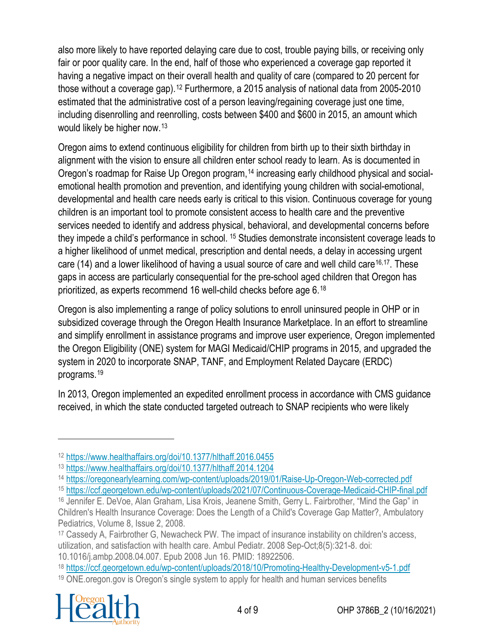also more likely to have reported delaying care due to cost, trouble paying bills, or receiving only fair or poor quality care. In the end, half of those who experienced a coverage gap reported it having a negative impact on their overall health and quality of care (compared to 20 percent for those without a coverage gap).[12](#page-3-0) Furthermore, a 2015 analysis of national data from 2005-2010 estimated that the administrative cost of a person leaving/regaining coverage just one time, including disenrolling and reenrolling, costs between \$400 and \$600 in 2015, an amount which would likely be higher now. [13](#page-3-1)

Oregon aims to extend continuous eligibility for children from birth up to their sixth birthday in alignment with the vision to ensure all children enter school ready to learn. As is documented in Oregon's roadmap for Raise Up Oregon program,<sup>[14](#page-3-2)</sup> increasing early childhood physical and socialemotional health promotion and prevention, and identifying young children with social-emotional, developmental and health care needs early is critical to this vision. Continuous coverage for young children is an important tool to promote consistent access to health care and the preventive services needed to identify and address physical, behavioral, and developmental concerns before they impede a child's performance in school. [15](#page-3-3) Studies demonstrate inconsistent coverage leads to a higher likelihood of unmet medical, prescription and dental needs, a delay in accessing urgent care (14) and a lower likelihood of having a usual source of care and well child care<sup>16,[17](#page-3-5)</sup>. These gaps in access are particularly consequential for the pre-school aged children that Oregon has prioritized, as experts recommend 16 well-child checks before age 6.[18](#page-3-6)

Oregon is also implementing a range of policy solutions to enroll uninsured people in OHP or in subsidized coverage through the Oregon Health Insurance Marketplace. In an effort to streamline and simplify enrollment in assistance programs and improve user experience, Oregon implemented the Oregon Eligibility (ONE) system for MAGI Medicaid/CHIP programs in 2015, and upgraded the system in 2020 to incorporate SNAP, TANF, and Employment Related Daycare (ERDC) programs.[19](#page-3-7)

In 2013, Oregon implemented an expedited enrollment process in accordance with CMS guidance received, in which the state conducted targeted outreach to SNAP recipients who were likely

<span id="page-3-7"></span><span id="page-3-6"></span><sup>19</sup> ONE.oregon.gov is Oregon's single system to apply for health and human services benefits



<span id="page-3-0"></span><sup>12</sup> <https://www.healthaffairs.org/doi/10.1377/hlthaff.2016.0455>

<span id="page-3-1"></span><sup>13</sup> <https://www.healthaffairs.org/doi/10.1377/hlthaff.2014.1204>

<span id="page-3-2"></span><sup>14</sup> <https://oregonearlylearning.com/wp-content/uploads/2019/01/Raise-Up-Oregon-Web-corrected.pdf>

<span id="page-3-3"></span><sup>15</sup> <https://ccf.georgetown.edu/wp-content/uploads/2021/07/Continuous-Coverage-Medicaid-CHIP-final.pdf>

<span id="page-3-4"></span><sup>16</sup> Jennifer E. DeVoe, Alan Graham, Lisa Krois, Jeanene Smith, Gerry L. Fairbrother, "Mind the Gap" in Children's Health Insurance Coverage: Does the Length of a Child's Coverage Gap Matter?, Ambulatory Pediatrics, Volume 8, Issue 2, 2008.

<span id="page-3-5"></span><sup>17</sup> Cassedy A, Fairbrother G, Newacheck PW. The impact of insurance instability on children's access, utilization, and satisfaction with health care. Ambul Pediatr. 2008 Sep-Oct;8(5):321-8. doi: 10.1016/j.ambp.2008.04.007. Epub 2008 Jun 16. PMID: 18922506.

<sup>18</sup> <https://ccf.georgetown.edu/wp-content/uploads/2018/10/Promoting-Healthy-Development-v5-1.pdf>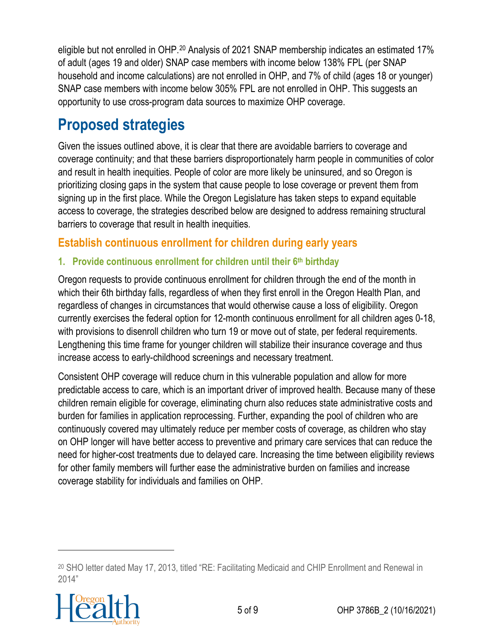eligible but not enrolled in OHP.<sup>[20](#page-4-0)</sup> Analysis of 2021 SNAP membership indicates an estimated 17% of adult (ages 19 and older) SNAP case members with income below 138% FPL (per SNAP household and income calculations) are not enrolled in OHP, and 7% of child (ages 18 or younger) SNAP case members with income below 305% FPL are not enrolled in OHP. This suggests an opportunity to use cross-program data sources to maximize OHP coverage.

## **Proposed strategies**

Given the issues outlined above, it is clear that there are avoidable barriers to coverage and coverage continuity; and that these barriers disproportionately harm people in communities of color and result in health inequities. People of color are more likely be uninsured, and so Oregon is prioritizing closing gaps in the system that cause people to lose coverage or prevent them from signing up in the first place. While the Oregon Legislature has taken steps to expand equitable access to coverage, the strategies described below are designed to address remaining structural barriers to coverage that result in health inequities.

#### **Establish continuous enrollment for children during early years**

#### **1. Provide continuous enrollment for children until their 6th birthday**

Oregon requests to provide continuous enrollment for children through the end of the month in which their 6th birthday falls, regardless of when they first enroll in the Oregon Health Plan, and regardless of changes in circumstances that would otherwise cause a loss of eligibility. Oregon currently exercises the federal option for 12-month continuous enrollment for all children ages 0-18, with provisions to disenroll children who turn 19 or move out of state, per federal requirements. Lengthening this time frame for younger children will stabilize their insurance coverage and thus increase access to early-childhood screenings and necessary treatment.

Consistent OHP coverage will reduce churn in this vulnerable population and allow for more predictable access to care, which is an important driver of improved health. Because many of these children remain eligible for coverage, eliminating churn also reduces state administrative costs and burden for families in application reprocessing. Further, expanding the pool of children who are continuously covered may ultimately reduce per member costs of coverage, as children who stay on OHP longer will have better access to preventive and primary care services that can reduce the need for higher-cost treatments due to delayed care. Increasing the time between eligibility reviews for other family members will further ease the administrative burden on families and increase coverage stability for individuals and families on OHP.

<span id="page-4-0"></span><sup>20</sup> SHO letter dated May 17, 2013, titled "RE: Facilitating Medicaid and CHIP Enrollment and Renewal in 2014"

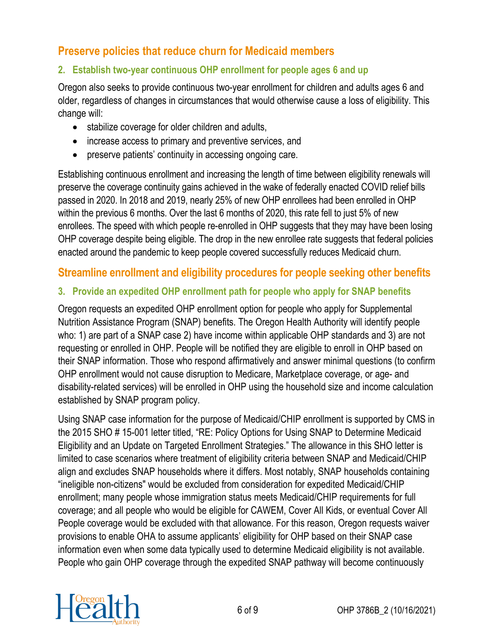#### **Preserve policies that reduce churn for Medicaid members**

#### **2. Establish two-year continuous OHP enrollment for people ages 6 and up**

Oregon also seeks to provide continuous two-year enrollment for children and adults ages 6 and older, regardless of changes in circumstances that would otherwise cause a loss of eligibility. This change will:

- stabilize coverage for older children and adults,
- increase access to primary and preventive services, and
- preserve patients' continuity in accessing ongoing care.

Establishing continuous enrollment and increasing the length of time between eligibility renewals will preserve the coverage continuity gains achieved in the wake of federally enacted COVID relief bills passed in 2020. In 2018 and 2019, nearly 25% of new OHP enrollees had been enrolled in OHP within the previous 6 months. Over the last 6 months of 2020, this rate fell to just 5% of new enrollees. The speed with which people re-enrolled in OHP suggests that they may have been losing OHP coverage despite being eligible. The drop in the new enrollee rate suggests that federal policies enacted around the pandemic to keep people covered successfully reduces Medicaid churn.

#### **Streamline enrollment and eligibility procedures for people seeking other benefits**

#### **3. Provide an expedited OHP enrollment path for people who apply for SNAP benefits**

Oregon requests an expedited OHP enrollment option for people who apply for Supplemental Nutrition Assistance Program (SNAP) benefits. The Oregon Health Authority will identify people who: 1) are part of a SNAP case 2) have income within applicable OHP standards and 3) are not requesting or enrolled in OHP. People will be notified they are eligible to enroll in OHP based on their SNAP information. Those who respond affirmatively and answer minimal questions (to confirm OHP enrollment would not cause disruption to Medicare, Marketplace coverage, or age- and disability-related services) will be enrolled in OHP using the household size and income calculation established by SNAP program policy.

Using SNAP case information for the purpose of Medicaid/CHIP enrollment is supported by CMS in the 2015 SHO # 15-001 letter titled, "RE: Policy Options for Using SNAP to Determine Medicaid Eligibility and an Update on Targeted Enrollment Strategies." The allowance in this SHO letter is limited to case scenarios where treatment of eligibility criteria between SNAP and Medicaid/CHIP align and excludes SNAP households where it differs. Most notably, SNAP households containing "ineligible non-citizens" would be excluded from consideration for expedited Medicaid/CHIP enrollment; many people whose immigration status meets Medicaid/CHIP requirements for full coverage; and all people who would be eligible for CAWEM, Cover All Kids, or eventual Cover All People coverage would be excluded with that allowance. For this reason, Oregon requests waiver provisions to enable OHA to assume applicants' eligibility for OHP based on their SNAP case information even when some data typically used to determine Medicaid eligibility is not available. People who gain OHP coverage through the expedited SNAP pathway will become continuously

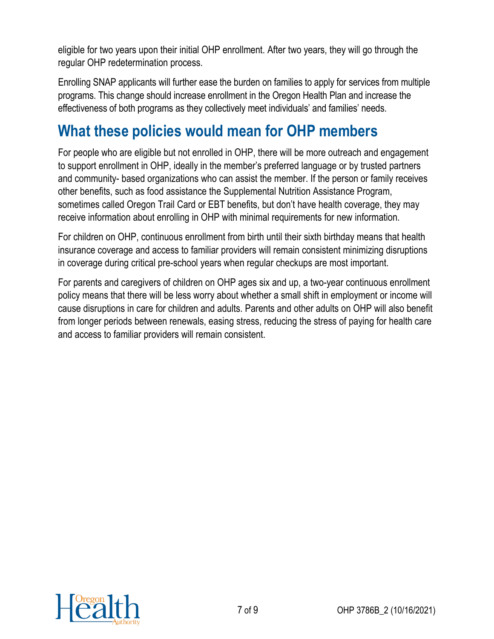eligible for two years upon their initial OHP enrollment. After two years, they will go through the regular OHP redetermination process.

Enrolling SNAP applicants will further ease the burden on families to apply for services from multiple programs. This change should increase enrollment in the Oregon Health Plan and increase the effectiveness of both programs as they collectively meet individuals' and families' needs.

### **What these policies would mean for OHP members**

For people who are eligible but not enrolled in OHP, there will be more outreach and engagement to support enrollment in OHP, ideally in the member's preferred language or by trusted partners and community- based organizations who can assist the member. If the person or family receives other benefits, such as food assistance the Supplemental Nutrition Assistance Program, sometimes called Oregon Trail Card or EBT benefits, but don't have health coverage, they may receive information about enrolling in OHP with minimal requirements for new information.

For children on OHP, continuous enrollment from birth until their sixth birthday means that health insurance coverage and access to familiar providers will remain consistent minimizing disruptions in coverage during critical pre-school years when regular checkups are most important.

For parents and caregivers of children on OHP ages six and up, a two-year continuous enrollment policy means that there will be less worry about whether a small shift in employment or income will cause disruptions in care for children and adults. Parents and other adults on OHP will also benefit from longer periods between renewals, easing stress, reducing the stress of paying for health care and access to familiar providers will remain consistent.

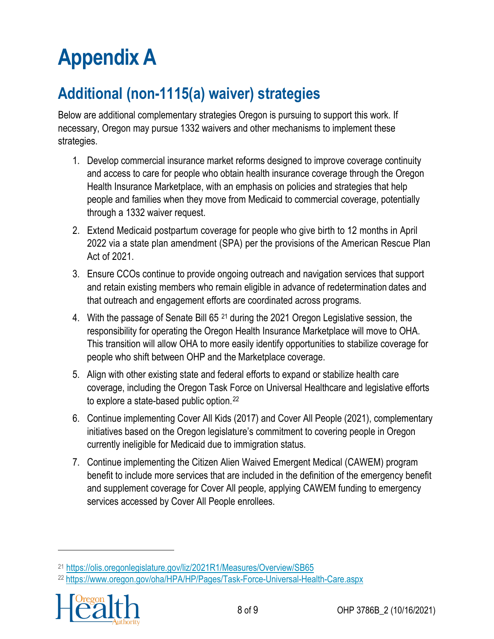# **Appendix A**

## **Additional (non-1115(a) waiver) strategies**

Below are additional complementary strategies Oregon is pursuing to support this work. If necessary, Oregon may pursue 1332 waivers and other mechanisms to implement these strategies.

- 1. Develop commercial insurance market reforms designed to improve coverage continuity and access to care for people who obtain health insurance coverage through the Oregon Health Insurance Marketplace, with an emphasis on policies and strategies that help people and families when they move from Medicaid to commercial coverage, potentially through a 1332 waiver request.
- 2. Extend Medicaid postpartum coverage for people who give birth to 12 months in April 2022 via a state plan amendment (SPA) per the provisions of the American Rescue Plan Act of 2021.
- 3. Ensure CCOs continue to provide ongoing outreach and navigation services that support and retain existing members who remain eligible in advance of redetermination dates and that outreach and engagement efforts are coordinated across programs.
- 4. With the passage of Senate Bill 65<sup>[21](#page-7-0)</sup> during the 2021 Oregon Legislative session, the responsibility for operating the Oregon Health Insurance Marketplace will move to OHA. This transition will allow OHA to more easily identify opportunities to stabilize coverage for people who shift between OHP and the Marketplace coverage.
- 5. Align with other existing state and federal efforts to expand or stabilize health care coverage, including the Oregon Task Force on Universal Healthcare and legislative efforts to explore a state-based public option.[22](#page-7-1)
- 6. Continue implementing Cover All Kids (2017) and Cover All People (2021), complementary initiatives based on the Oregon legislature's commitment to covering people in Oregon currently ineligible for Medicaid due to immigration status.
- 7. Continue implementing the Citizen Alien Waived Emergent Medical (CAWEM) program benefit to include more services that are included in the definition of the emergency benefit and supplement coverage for Cover All people, applying CAWEM funding to emergency services accessed by Cover All People enrollees.

<span id="page-7-1"></span><span id="page-7-0"></span><sup>22</sup> <https://www.oregon.gov/oha/HPA/HP/Pages/Task-Force-Universal-Health-Care.aspx>



<sup>21</sup> <https://olis.oregonlegislature.gov/liz/2021R1/Measures/Overview/SB65>